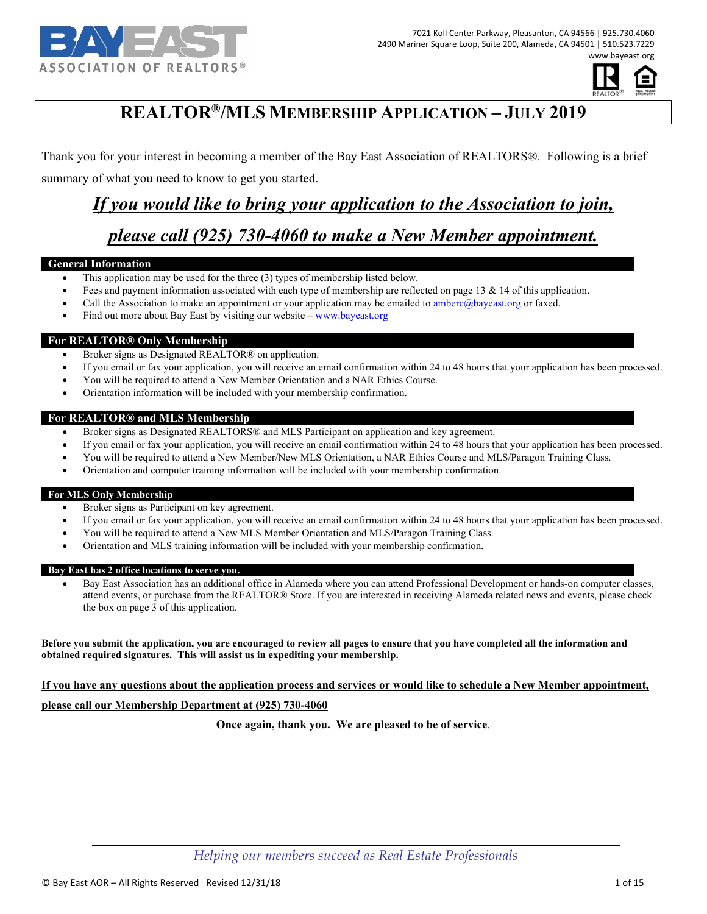



# **REALTOR®/MLS MEMBERSHIP APPLICATION – JULY 2019**

Thank you for your interest in becoming a member of the Bay East Association of REALTORS®. Following is a brief summary of what you need to know to get you started.

## *If you would like to bring your application to the Association to join,*

# *please call (925) 730-4060 to make a New Member appointment.*

#### **General Information**

- This application may be used for the three (3) types of membership listed below.
- Fees and payment information associated with each type of membership are reflected on page 13 & 14 of this application.
- Call the Association to make an appointment or your application may be emailed to amberc@bayeast.org or faxed.
- Find out more about Bay East by visiting our website www.bayeast.org

#### **For REALTOR® Only Membership**

- Broker signs as Designated REALTOR® on application.
- If you email or fax your application, you will receive an email confirmation within 24 to 48 hours that your application has been processed.
- You will be required to attend a New Member Orientation and a NAR Ethics Course.
- Orientation information will be included with your membership confirmation.

#### **For REALTOR® and MLS Membership**

- Broker signs as Designated REALTORS® and MLS Participant on application and key agreement.
- If you email or fax your application, you will receive an email confirmation within 24 to 48 hours that your application has been processed.
- You will be required to attend a New Member/New MLS Orientation, a NAR Ethics Course and MLS/Paragon Training Class.
- Orientation and computer training information will be included with your membership confirmation.

#### **For MLS Only Membership**

- Broker signs as Participant on key agreement.
- If you email or fax your application, you will receive an email confirmation within 24 to 48 hours that your application has been processed.
- You will be required to attend a New MLS Member Orientation and MLS/Paragon Training Class.
- Orientation and MLS training information will be included with your membership confirmation.

#### **Bay East has 2 office locations to serve you.**

 Bay East Association has an additional office in Alameda where you can attend Professional Development or hands-on computer classes, attend events, or purchase from the REALTOR® Store. If you are interested in receiving Alameda related news and events, please check the box on page 3 of this application.

**Before you submit the application, you are encouraged to review all pages to ensure that you have completed all the information and obtained required signatures. This will assist us in expediting your membership.** 

## **If you have any questions about the application process and services or would like to schedule a New Member appointment, please call our Membership Department at (925) 730-4060**

**Once again, thank you. We are pleased to be of service**.

*Helping our members succeed as Real Estate Professionals*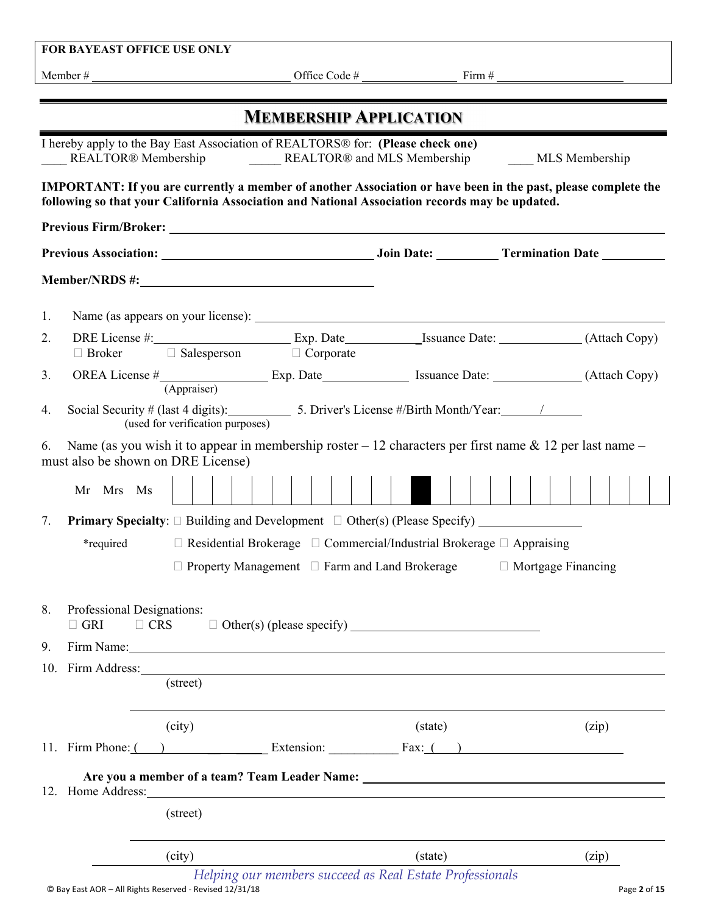|                                                                                                                                                           | FOR BAYEAST OFFICE USE ONLY                                                                                                                                                                                                    |  |                               |  |                           |  |  |  |
|-----------------------------------------------------------------------------------------------------------------------------------------------------------|--------------------------------------------------------------------------------------------------------------------------------------------------------------------------------------------------------------------------------|--|-------------------------------|--|---------------------------|--|--|--|
|                                                                                                                                                           |                                                                                                                                                                                                                                |  |                               |  |                           |  |  |  |
|                                                                                                                                                           |                                                                                                                                                                                                                                |  |                               |  |                           |  |  |  |
|                                                                                                                                                           |                                                                                                                                                                                                                                |  | <b>MEMBERSHIP APPLICATION</b> |  |                           |  |  |  |
|                                                                                                                                                           | I hereby apply to the Bay East Association of REALTORS® for: (Please check one)<br>REALTOR® and MLS Membership<br>REALTOR® Membership                                                                                          |  |                               |  | <b>MLS</b> Membership     |  |  |  |
|                                                                                                                                                           | <b>IMPORTANT:</b> If you are currently a member of another Association or have been in the past, please complete the<br>following so that your California Association and National Association records may be updated.         |  |                               |  |                           |  |  |  |
|                                                                                                                                                           |                                                                                                                                                                                                                                |  |                               |  |                           |  |  |  |
|                                                                                                                                                           |                                                                                                                                                                                                                                |  |                               |  |                           |  |  |  |
|                                                                                                                                                           | Member/NRDS #: Next Service Services and Services Services and Services Services Services and Services Services                                                                                                                |  |                               |  |                           |  |  |  |
| 1.                                                                                                                                                        |                                                                                                                                                                                                                                |  |                               |  |                           |  |  |  |
| 2.                                                                                                                                                        | $\Box$ Broker $\Box$ Salesperson $\Box$ Corporate                                                                                                                                                                              |  |                               |  |                           |  |  |  |
| 3.                                                                                                                                                        |                                                                                                                                                                                                                                |  |                               |  |                           |  |  |  |
|                                                                                                                                                           | (Appraiser)                                                                                                                                                                                                                    |  |                               |  |                           |  |  |  |
| 4.                                                                                                                                                        | Social Security # (last 4 digits): 5. Driver's License #/Birth Month/Year: 11.12.12<br>(used for verification purposes)                                                                                                        |  |                               |  |                           |  |  |  |
| Name (as you wish it to appear in membership roster $-12$ characters per first name $\&$ 12 per last name $-$<br>6.<br>must also be shown on DRE License) |                                                                                                                                                                                                                                |  |                               |  |                           |  |  |  |
|                                                                                                                                                           | Mr Mrs Ms                                                                                                                                                                                                                      |  |                               |  |                           |  |  |  |
| 7.                                                                                                                                                        |                                                                                                                                                                                                                                |  |                               |  |                           |  |  |  |
|                                                                                                                                                           | $\Box$ Residential Brokerage $\Box$ Commercial/Industrial Brokerage $\Box$ Appraising<br>*required                                                                                                                             |  |                               |  |                           |  |  |  |
|                                                                                                                                                           | $\Box$ Property Management $\Box$ Farm and Land Brokerage                                                                                                                                                                      |  |                               |  | $\Box$ Mortgage Financing |  |  |  |
| 8.<br>9.                                                                                                                                                  | Professional Designations:<br>$\Box$ CRS<br>$\Box$ GRI<br>Firm Name:                                                                                                                                                           |  |                               |  |                           |  |  |  |
|                                                                                                                                                           | 10. Firm Address: 2008. Contract and the set of the set of the set of the set of the set of the set of the set of the set of the set of the set of the set of the set of the set of the set of the set of the set of the set o |  |                               |  |                           |  |  |  |
|                                                                                                                                                           | (street)                                                                                                                                                                                                                       |  |                               |  |                           |  |  |  |
|                                                                                                                                                           | (city)                                                                                                                                                                                                                         |  | (state)                       |  | (zip)                     |  |  |  |
|                                                                                                                                                           | 11. Firm Phone: $($ $)$ Extension: Extension: Fax: $($ $)$                                                                                                                                                                     |  |                               |  |                           |  |  |  |
|                                                                                                                                                           |                                                                                                                                                                                                                                |  |                               |  |                           |  |  |  |
|                                                                                                                                                           | (street)                                                                                                                                                                                                                       |  |                               |  |                           |  |  |  |
|                                                                                                                                                           | (city)<br>Helping our members succeed as Real Estate Professionals                                                                                                                                                             |  | (state)                       |  | (zip)                     |  |  |  |

© Bay East AOR – All Rights Reserved ‐ Revised 12/31/18 Page **2** of **15**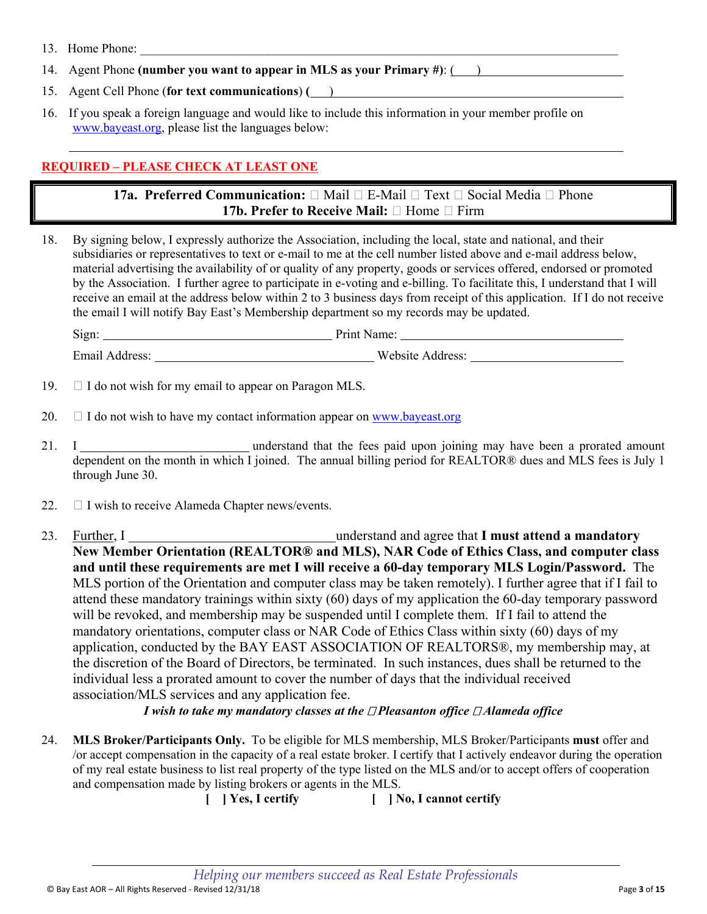- 13. Home Phone:
- 14. Agent Phone **(number you want to appear in MLS as your Primary #)**: ( )
- 15. Agent Cell Phone (**for text communications**) **(** )
- 16. If you speak a foreign language and would like to include this information in your member profile on www.bayeast.org, please list the languages below:

## **REQUIRED – PLEASE CHECK AT LEAST ONE**

**17a. Preferred Communication:**  $\Box$  Mail  $\Box$  E-Mail  $\Box$  Text  $\Box$  Social Media  $\Box$  Phone **17b. Prefer to Receive Mail:**  $\Box$  Home  $\Box$  Firm

18. By signing below, I expressly authorize the Association, including the local, state and national, and their subsidiaries or representatives to text or e-mail to me at the cell number listed above and e-mail address below, material advertising the availability of or quality of any property, goods or services offered, endorsed or promoted by the Association. I further agree to participate in e-voting and e-billing. To facilitate this, I understand that I will receive an email at the address below within 2 to 3 business days from receipt of this application. If I do not receive the email I will notify Bay East's Membership department so my records may be updated.

| $\sim \cdot$<br>Sign: | Print Name:          |
|-----------------------|----------------------|
| Email Address:        | Website.<br>Address: |

- 19.  $\Box$  I do not wish for my email to appear on Paragon MLS.
- 20.  $\Box$  I do not wish to have my contact information appear on www.bayeast.org
- 21. I understand that the fees paid upon joining may have been a prorated amount dependent on the month in which I joined. The annual billing period for REALTOR® dues and MLS fees is July 1 through June 30.
- 22.  $\Box$  I wish to receive Alameda Chapter news/events.
- 23. Further, I Games and all and agree that **I must attend a mandatory** and a structure of the mandatory **Exercise 23.** Exercise 23. **New Member Orientation (REALTOR® and MLS), NAR Code of Ethics Class, and computer class and until these requirements are met I will receive a 60-day temporary MLS Login/Password.** The MLS portion of the Orientation and computer class may be taken remotely). I further agree that if I fail to attend these mandatory trainings within sixty (60) days of my application the 60-day temporary password will be revoked, and membership may be suspended until I complete them. If I fail to attend the mandatory orientations, computer class or NAR Code of Ethics Class within sixty (60) days of my application, conducted by the BAY EAST ASSOCIATION OF REALTORS®, my membership may, at the discretion of the Board of Directors, be terminated. In such instances, dues shall be returned to the individual less a prorated amount to cover the number of days that the individual received association/MLS services and any application fee.

*I* wish to take my mandatory classes at the □ Pleasanton office □ Alameda office

24. **MLS Broker/Participants Only.** To be eligible for MLS membership, MLS Broker/Participants **must** offer and /or accept compensation in the capacity of a real estate broker. I certify that I actively endeavor during the operation of my real estate business to list real property of the type listed on the MLS and/or to accept offers of cooperation and compensation made by listing brokers or agents in the MLS.

**[ ] Yes, I certify [ ] No, I cannot certify**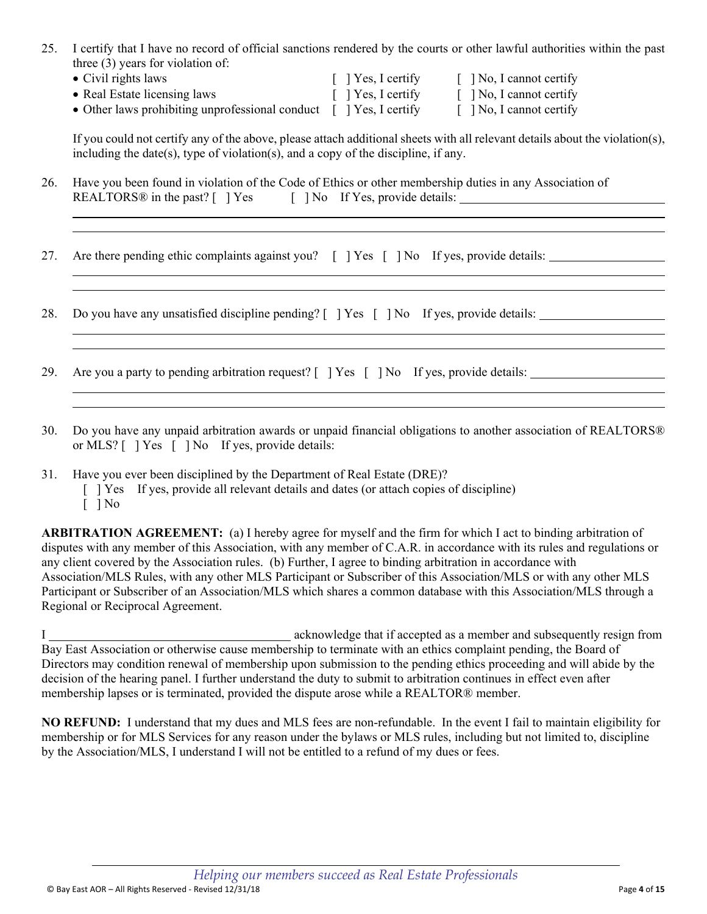- 25. I certify that I have no record of official sanctions rendered by the courts or other lawful authorities within the past three (3) years for violation of:
	- Civil rights laws [ ] Yes, I certify [ ] No, I cannot certify • Real Estate licensing laws [ ] Yes, I certify [ ] No, I cannot certify • Other laws prohibiting unprofessional conduct  $\begin{bmatrix} 1 \end{bmatrix}$  Yes, I certify  $\begin{bmatrix} 1 \end{bmatrix}$  No, I cannot certify

If you could not certify any of the above, please attach additional sheets with all relevant details about the violation(s), including the date(s), type of violation(s), and a copy of the discipline, if any.

- 26. Have you been found in violation of the Code of Ethics or other membership duties in any Association of REALTORS $@$  in the past?  $[$   $]$   $Yes$   $[$   $]$   $No$  If Yes, provide details:
- 27. Are there pending ethic complaints against you? [ ] Yes [ ] No If yes, provide details:
- 28. Do you have any unsatisfied discipline pending? [ ] Yes [ ] No If yes, provide details:
- 29. Are you a party to pending arbitration request? [ ] Yes [ ] No If yes, provide details:
- 30. Do you have any unpaid arbitration awards or unpaid financial obligations to another association of REALTORS® or MLS? [ ] Yes [ ] No If yes, provide details:
- 31. Have you ever been disciplined by the Department of Real Estate (DRE)?
	- [ ] Yes If yes, provide all relevant details and dates (or attach copies of discipline)
	- [ ] No

l l

l

**ARBITRATION AGREEMENT:** (a) I hereby agree for myself and the firm for which I act to binding arbitration of disputes with any member of this Association, with any member of C.A.R. in accordance with its rules and regulations or any client covered by the Association rules. (b) Further, I agree to binding arbitration in accordance with Association/MLS Rules, with any other MLS Participant or Subscriber of this Association/MLS or with any other MLS Participant or Subscriber of an Association/MLS which shares a common database with this Association/MLS through a Regional or Reciprocal Agreement.

I acknowledge that if accepted as a member and subsequently resign from Bay East Association or otherwise cause membership to terminate with an ethics complaint pending, the Board of Directors may condition renewal of membership upon submission to the pending ethics proceeding and will abide by the decision of the hearing panel. I further understand the duty to submit to arbitration continues in effect even after membership lapses or is terminated, provided the dispute arose while a REALTOR® member.

**NO REFUND:** I understand that my dues and MLS fees are non-refundable. In the event I fail to maintain eligibility for membership or for MLS Services for any reason under the bylaws or MLS rules, including but not limited to, discipline by the Association/MLS, I understand I will not be entitled to a refund of my dues or fees.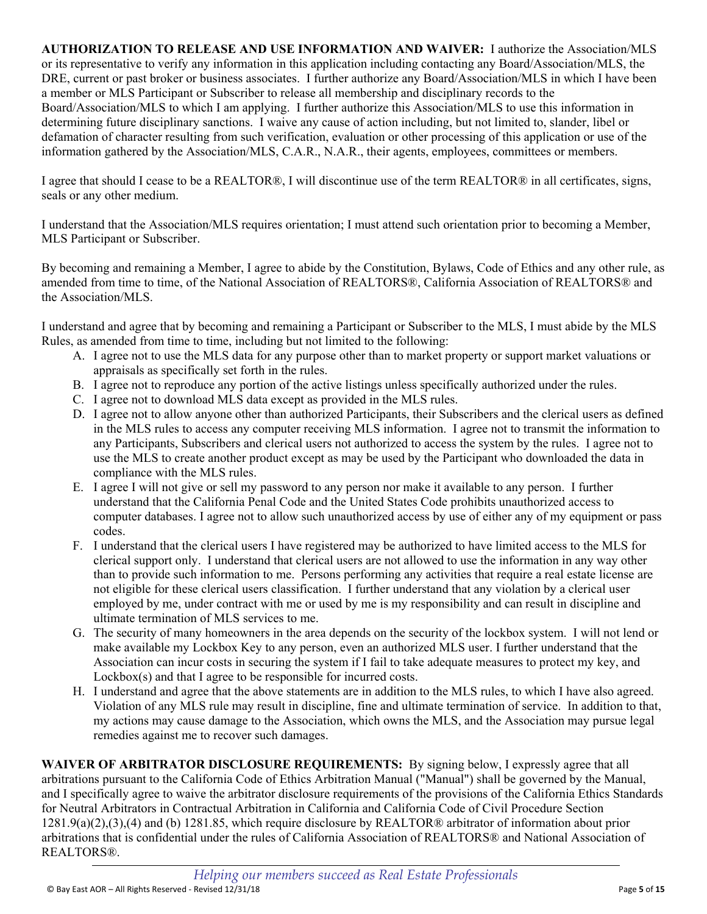**AUTHORIZATION TO RELEASE AND USE INFORMATION AND WAIVER:** I authorize the Association/MLS or its representative to verify any information in this application including contacting any Board/Association/MLS, the DRE, current or past broker or business associates. I further authorize any Board/Association/MLS in which I have been a member or MLS Participant or Subscriber to release all membership and disciplinary records to the Board/Association/MLS to which I am applying. I further authorize this Association/MLS to use this information in determining future disciplinary sanctions. I waive any cause of action including, but not limited to, slander, libel or defamation of character resulting from such verification, evaluation or other processing of this application or use of the information gathered by the Association/MLS, C.A.R., N.A.R., their agents, employees, committees or members.

I agree that should I cease to be a REALTOR®, I will discontinue use of the term REALTOR® in all certificates, signs, seals or any other medium.

I understand that the Association/MLS requires orientation; I must attend such orientation prior to becoming a Member, MLS Participant or Subscriber.

By becoming and remaining a Member, I agree to abide by the Constitution, Bylaws, Code of Ethics and any other rule, as amended from time to time, of the National Association of REALTORS®, California Association of REALTORS® and the Association/MLS.

I understand and agree that by becoming and remaining a Participant or Subscriber to the MLS, I must abide by the MLS Rules, as amended from time to time, including but not limited to the following:

- A. I agree not to use the MLS data for any purpose other than to market property or support market valuations or appraisals as specifically set forth in the rules.
- B. I agree not to reproduce any portion of the active listings unless specifically authorized under the rules.
- C. I agree not to download MLS data except as provided in the MLS rules.
- D. I agree not to allow anyone other than authorized Participants, their Subscribers and the clerical users as defined in the MLS rules to access any computer receiving MLS information. I agree not to transmit the information to any Participants, Subscribers and clerical users not authorized to access the system by the rules. I agree not to use the MLS to create another product except as may be used by the Participant who downloaded the data in compliance with the MLS rules.
- E. I agree I will not give or sell my password to any person nor make it available to any person. I further understand that the California Penal Code and the United States Code prohibits unauthorized access to computer databases. I agree not to allow such unauthorized access by use of either any of my equipment or pass codes.
- F. I understand that the clerical users I have registered may be authorized to have limited access to the MLS for clerical support only. I understand that clerical users are not allowed to use the information in any way other than to provide such information to me. Persons performing any activities that require a real estate license are not eligible for these clerical users classification. I further understand that any violation by a clerical user employed by me, under contract with me or used by me is my responsibility and can result in discipline and ultimate termination of MLS services to me.
- G. The security of many homeowners in the area depends on the security of the lockbox system. I will not lend or make available my Lockbox Key to any person, even an authorized MLS user. I further understand that the Association can incur costs in securing the system if I fail to take adequate measures to protect my key, and Lockbox(s) and that I agree to be responsible for incurred costs.
- H. I understand and agree that the above statements are in addition to the MLS rules, to which I have also agreed. Violation of any MLS rule may result in discipline, fine and ultimate termination of service. In addition to that, my actions may cause damage to the Association, which owns the MLS, and the Association may pursue legal remedies against me to recover such damages.

**WAIVER OF ARBITRATOR DISCLOSURE REQUIREMENTS:** By signing below, I expressly agree that all arbitrations pursuant to the California Code of Ethics Arbitration Manual ("Manual") shall be governed by the Manual, and I specifically agree to waive the arbitrator disclosure requirements of the provisions of the California Ethics Standards for Neutral Arbitrators in Contractual Arbitration in California and California Code of Civil Procedure Section 1281.9(a)(2),(3),(4) and (b) 1281.85, which require disclosure by REALTOR® arbitrator of information about prior arbitrations that is confidential under the rules of California Association of REALTORS® and National Association of REALTORS®.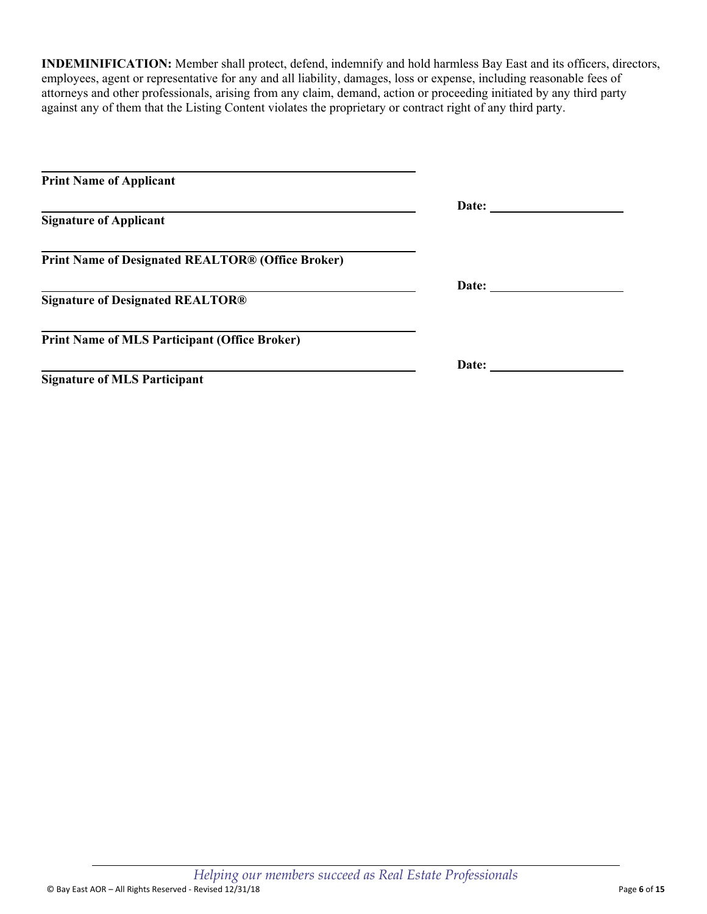**INDEMINIFICATION:** Member shall protect, defend, indemnify and hold harmless Bay East and its officers, directors, employees, agent or representative for any and all liability, damages, loss or expense, including reasonable fees of attorneys and other professionals, arising from any claim, demand, action or proceeding initiated by any third party against any of them that the Listing Content violates the proprietary or contract right of any third party.

| <b>Print Name of Applicant</b>                           |                         |  |
|----------------------------------------------------------|-------------------------|--|
|                                                          | Date: $\qquad \qquad$   |  |
| <b>Signature of Applicant</b>                            |                         |  |
| <b>Print Name of Designated REALTOR® (Office Broker)</b> |                         |  |
|                                                          | Date: <u>__________</u> |  |
| <b>Signature of Designated REALTOR®</b>                  |                         |  |
| <b>Print Name of MLS Participant (Office Broker)</b>     |                         |  |
|                                                          | Date: <u>_________</u>  |  |
| <b>Signature of MLS Participant</b>                      |                         |  |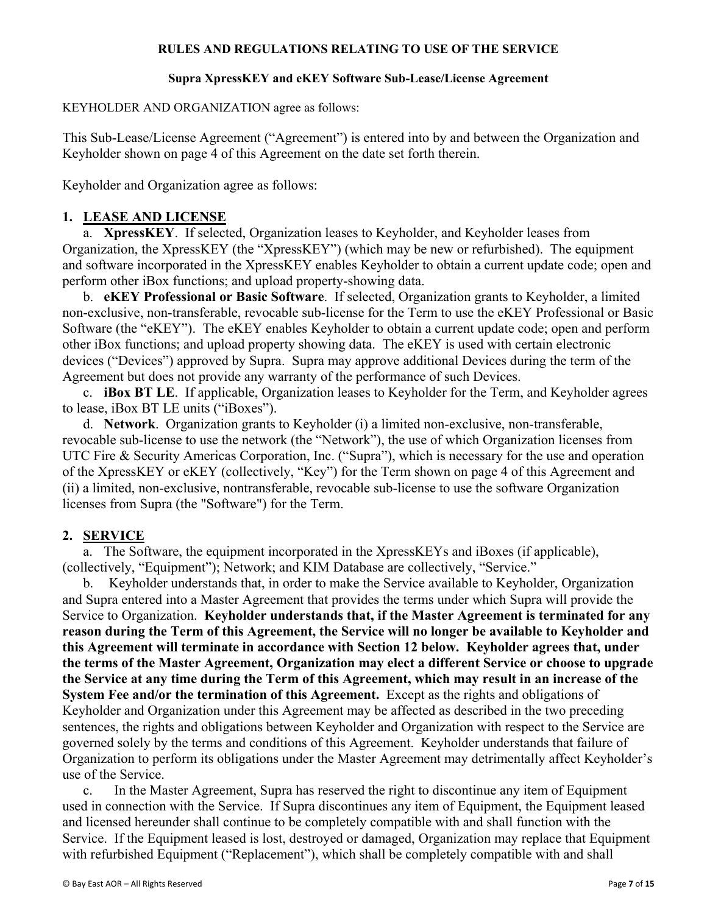#### **RULES AND REGULATIONS RELATING TO USE OF THE SERVICE**

#### **Supra XpressKEY and eKEY Software Sub-Lease/License Agreement**

KEYHOLDER AND ORGANIZATION agree as follows:

This Sub-Lease/License Agreement ("Agreement") is entered into by and between the Organization and Keyholder shown on page 4 of this Agreement on the date set forth therein.

Keyholder and Organization agree as follows:

### **1. LEASE AND LICENSE**

a. **XpressKEY**.If selected, Organization leases to Keyholder, and Keyholder leases from Organization, the XpressKEY (the "XpressKEY") (which may be new or refurbished). The equipment and software incorporated in the XpressKEY enables Keyholder to obtain a current update code; open and perform other iBox functions; and upload property-showing data.

 b. **eKEY Professional or Basic Software**.If selected, Organization grants to Keyholder, a limited non-exclusive, non-transferable, revocable sub-license for the Term to use the eKEY Professional or Basic Software (the "eKEY"). The eKEY enables Keyholder to obtain a current update code; open and perform other iBox functions; and upload property showing data. The eKEY is used with certain electronic devices ("Devices") approved by Supra. Supra may approve additional Devices during the term of the Agreement but does not provide any warranty of the performance of such Devices.

 c. **iBox BT LE**. If applicable, Organization leases to Keyholder for the Term, and Keyholder agrees to lease, iBox BT LE units ("iBoxes").

 d. **Network**. Organization grants to Keyholder (i) a limited non-exclusive, non-transferable, revocable sub-license to use the network (the "Network"), the use of which Organization licenses from UTC Fire & Security Americas Corporation, Inc. ("Supra"), which is necessary for the use and operation of the XpressKEY or eKEY (collectively, "Key") for the Term shown on page 4 of this Agreement and (ii) a limited, non-exclusive, nontransferable, revocable sub-license to use the software Organization licenses from Supra (the "Software") for the Term.

### **2. SERVICE**

 a. The Software, the equipment incorporated in the XpressKEYs and iBoxes (if applicable), (collectively, "Equipment"); Network; and KIM Database are collectively, "Service."

b. Keyholder understands that, in order to make the Service available to Keyholder, Organization and Supra entered into a Master Agreement that provides the terms under which Supra will provide the Service to Organization. **Keyholder understands that, if the Master Agreement is terminated for any reason during the Term of this Agreement, the Service will no longer be available to Keyholder and this Agreement will terminate in accordance with Section 12 below. Keyholder agrees that, under the terms of the Master Agreement, Organization may elect a different Service or choose to upgrade the Service at any time during the Term of this Agreement, which may result in an increase of the System Fee and/or the termination of this Agreement.** Except as the rights and obligations of Keyholder and Organization under this Agreement may be affected as described in the two preceding sentences, the rights and obligations between Keyholder and Organization with respect to the Service are governed solely by the terms and conditions of this Agreement. Keyholder understands that failure of Organization to perform its obligations under the Master Agreement may detrimentally affect Keyholder's use of the Service.

c. In the Master Agreement, Supra has reserved the right to discontinue any item of Equipment used in connection with the Service. If Supra discontinues any item of Equipment, the Equipment leased and licensed hereunder shall continue to be completely compatible with and shall function with the Service. If the Equipment leased is lost, destroyed or damaged, Organization may replace that Equipment with refurbished Equipment ("Replacement"), which shall be completely compatible with and shall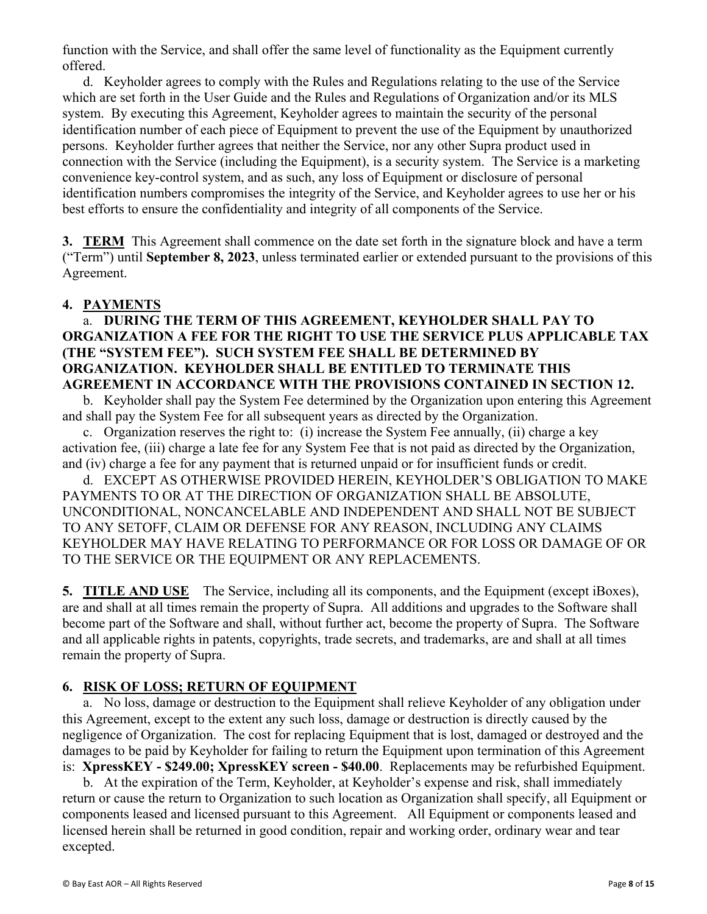function with the Service, and shall offer the same level of functionality as the Equipment currently offered.

 d. Keyholder agrees to comply with the Rules and Regulations relating to the use of the Service which are set forth in the User Guide and the Rules and Regulations of Organization and/or its MLS system. By executing this Agreement, Keyholder agrees to maintain the security of the personal identification number of each piece of Equipment to prevent the use of the Equipment by unauthorized persons. Keyholder further agrees that neither the Service, nor any other Supra product used in connection with the Service (including the Equipment), is a security system. The Service is a marketing convenience key-control system, and as such, any loss of Equipment or disclosure of personal identification numbers compromises the integrity of the Service, and Keyholder agrees to use her or his best efforts to ensure the confidentiality and integrity of all components of the Service.

**3. TERM** This Agreement shall commence on the date set forth in the signature block and have a term ("Term") until **September 8, 2023**, unless terminated earlier or extended pursuant to the provisions of this Agreement.

## **4. PAYMENTS**

a. **DURING THE TERM OF THIS AGREEMENT, KEYHOLDER SHALL PAY TO ORGANIZATION A FEE FOR THE RIGHT TO USE THE SERVICE PLUS APPLICABLE TAX (THE "SYSTEM FEE"). SUCH SYSTEM FEE SHALL BE DETERMINED BY ORGANIZATION. KEYHOLDER SHALL BE ENTITLED TO TERMINATE THIS AGREEMENT IN ACCORDANCE WITH THE PROVISIONS CONTAINED IN SECTION 12.** 

b. Keyholder shall pay the System Fee determined by the Organization upon entering this Agreement and shall pay the System Fee for all subsequent years as directed by the Organization.

c. Organization reserves the right to: (i) increase the System Fee annually, (ii) charge a key activation fee, (iii) charge a late fee for any System Fee that is not paid as directed by the Organization, and (iv) charge a fee for any payment that is returned unpaid or for insufficient funds or credit.

d. EXCEPT AS OTHERWISE PROVIDED HEREIN, KEYHOLDER'S OBLIGATION TO MAKE PAYMENTS TO OR AT THE DIRECTION OF ORGANIZATION SHALL BE ABSOLUTE, UNCONDITIONAL, NONCANCELABLE AND INDEPENDENT AND SHALL NOT BE SUBJECT TO ANY SETOFF, CLAIM OR DEFENSE FOR ANY REASON, INCLUDING ANY CLAIMS KEYHOLDER MAY HAVE RELATING TO PERFORMANCE OR FOR LOSS OR DAMAGE OF OR TO THE SERVICE OR THE EQUIPMENT OR ANY REPLACEMENTS.

**5. TITLE AND USE** The Service, including all its components, and the Equipment (except iBoxes), are and shall at all times remain the property of Supra. All additions and upgrades to the Software shall become part of the Software and shall, without further act, become the property of Supra. The Software and all applicable rights in patents, copyrights, trade secrets, and trademarks, are and shall at all times remain the property of Supra.

## **6. RISK OF LOSS; RETURN OF EQUIPMENT**

a. No loss, damage or destruction to the Equipment shall relieve Keyholder of any obligation under this Agreement, except to the extent any such loss, damage or destruction is directly caused by the negligence of Organization. The cost for replacing Equipment that is lost, damaged or destroyed and the damages to be paid by Keyholder for failing to return the Equipment upon termination of this Agreement is: **XpressKEY - \$249.00; XpressKEY screen - \$40.00**. Replacements may be refurbished Equipment.

b. At the expiration of the Term, Keyholder, at Keyholder's expense and risk, shall immediately return or cause the return to Organization to such location as Organization shall specify, all Equipment or components leased and licensed pursuant to this Agreement. All Equipment or components leased and licensed herein shall be returned in good condition, repair and working order, ordinary wear and tear excepted.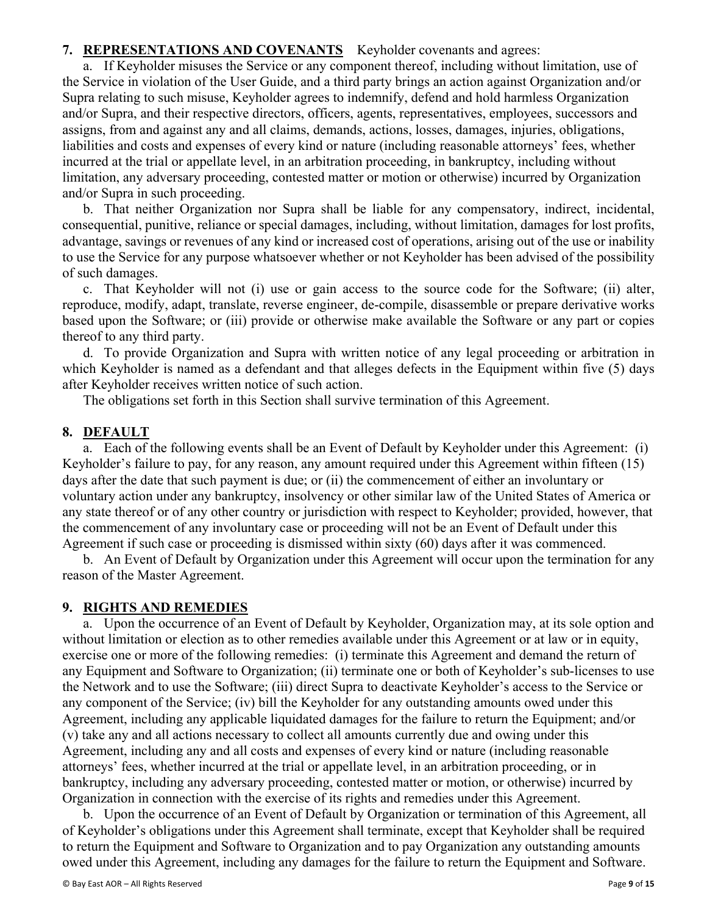## **7. REPRESENTATIONS AND COVENANTS** Keyholder covenants and agrees:

 a. If Keyholder misuses the Service or any component thereof, including without limitation, use of the Service in violation of the User Guide, and a third party brings an action against Organization and/or Supra relating to such misuse, Keyholder agrees to indemnify, defend and hold harmless Organization and/or Supra, and their respective directors, officers, agents, representatives, employees, successors and assigns, from and against any and all claims, demands, actions, losses, damages, injuries, obligations, liabilities and costs and expenses of every kind or nature (including reasonable attorneys' fees, whether incurred at the trial or appellate level, in an arbitration proceeding, in bankruptcy, including without limitation, any adversary proceeding, contested matter or motion or otherwise) incurred by Organization and/or Supra in such proceeding.

b. That neither Organization nor Supra shall be liable for any compensatory, indirect, incidental, consequential, punitive, reliance or special damages, including, without limitation, damages for lost profits, advantage, savings or revenues of any kind or increased cost of operations, arising out of the use or inability to use the Service for any purpose whatsoever whether or not Keyholder has been advised of the possibility of such damages.

c. That Keyholder will not (i) use or gain access to the source code for the Software; (ii) alter, reproduce, modify, adapt, translate, reverse engineer, de-compile, disassemble or prepare derivative works based upon the Software; or (iii) provide or otherwise make available the Software or any part or copies thereof to any third party.

d. To provide Organization and Supra with written notice of any legal proceeding or arbitration in which Keyholder is named as a defendant and that alleges defects in the Equipment within five (5) days after Keyholder receives written notice of such action.

The obligations set forth in this Section shall survive termination of this Agreement.

## **8. DEFAULT**

a. Each of the following events shall be an Event of Default by Keyholder under this Agreement: (i) Keyholder's failure to pay, for any reason, any amount required under this Agreement within fifteen (15) days after the date that such payment is due; or (ii) the commencement of either an involuntary or voluntary action under any bankruptcy, insolvency or other similar law of the United States of America or any state thereof or of any other country or jurisdiction with respect to Keyholder; provided, however, that the commencement of any involuntary case or proceeding will not be an Event of Default under this Agreement if such case or proceeding is dismissed within sixty (60) days after it was commenced.

b. An Event of Default by Organization under this Agreement will occur upon the termination for any reason of the Master Agreement.

### **9. RIGHTS AND REMEDIES**

a. Upon the occurrence of an Event of Default by Keyholder, Organization may, at its sole option and without limitation or election as to other remedies available under this Agreement or at law or in equity, exercise one or more of the following remedies: (i) terminate this Agreement and demand the return of any Equipment and Software to Organization; (ii) terminate one or both of Keyholder's sub-licenses to use the Network and to use the Software; (iii) direct Supra to deactivate Keyholder's access to the Service or any component of the Service; (iv) bill the Keyholder for any outstanding amounts owed under this Agreement, including any applicable liquidated damages for the failure to return the Equipment; and/or (v) take any and all actions necessary to collect all amounts currently due and owing under this Agreement, including any and all costs and expenses of every kind or nature (including reasonable attorneys' fees, whether incurred at the trial or appellate level, in an arbitration proceeding, or in bankruptcy, including any adversary proceeding, contested matter or motion, or otherwise) incurred by Organization in connection with the exercise of its rights and remedies under this Agreement.

 b. Upon the occurrence of an Event of Default by Organization or termination of this Agreement, all of Keyholder's obligations under this Agreement shall terminate, except that Keyholder shall be required to return the Equipment and Software to Organization and to pay Organization any outstanding amounts owed under this Agreement, including any damages for the failure to return the Equipment and Software.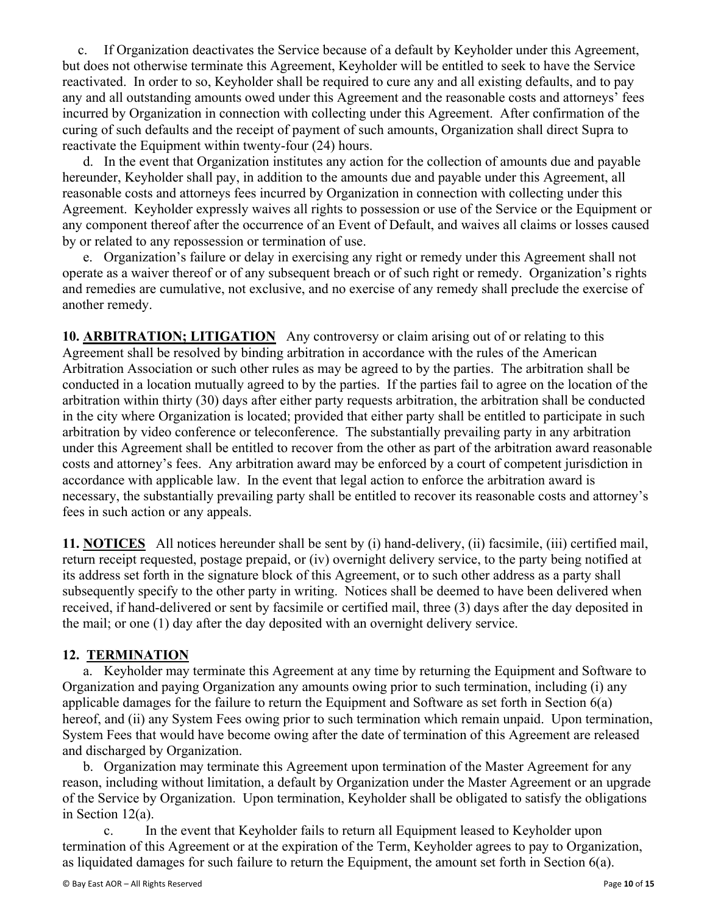c. If Organization deactivates the Service because of a default by Keyholder under this Agreement, but does not otherwise terminate this Agreement, Keyholder will be entitled to seek to have the Service reactivated. In order to so, Keyholder shall be required to cure any and all existing defaults, and to pay any and all outstanding amounts owed under this Agreement and the reasonable costs and attorneys' fees incurred by Organization in connection with collecting under this Agreement. After confirmation of the curing of such defaults and the receipt of payment of such amounts, Organization shall direct Supra to reactivate the Equipment within twenty-four (24) hours.

 d. In the event that Organization institutes any action for the collection of amounts due and payable hereunder, Keyholder shall pay, in addition to the amounts due and payable under this Agreement, all reasonable costs and attorneys fees incurred by Organization in connection with collecting under this Agreement. Keyholder expressly waives all rights to possession or use of the Service or the Equipment or any component thereof after the occurrence of an Event of Default, and waives all claims or losses caused by or related to any repossession or termination of use.

 e. Organization's failure or delay in exercising any right or remedy under this Agreement shall not operate as a waiver thereof or of any subsequent breach or of such right or remedy. Organization's rights and remedies are cumulative, not exclusive, and no exercise of any remedy shall preclude the exercise of another remedy.

10. ARBITRATION; LITIGATION Any controversy or claim arising out of or relating to this Agreement shall be resolved by binding arbitration in accordance with the rules of the American Arbitration Association or such other rules as may be agreed to by the parties. The arbitration shall be conducted in a location mutually agreed to by the parties. If the parties fail to agree on the location of the arbitration within thirty (30) days after either party requests arbitration, the arbitration shall be conducted in the city where Organization is located; provided that either party shall be entitled to participate in such arbitration by video conference or teleconference. The substantially prevailing party in any arbitration under this Agreement shall be entitled to recover from the other as part of the arbitration award reasonable costs and attorney's fees. Any arbitration award may be enforced by a court of competent jurisdiction in accordance with applicable law. In the event that legal action to enforce the arbitration award is necessary, the substantially prevailing party shall be entitled to recover its reasonable costs and attorney's fees in such action or any appeals.

**11. NOTICES** All notices hereunder shall be sent by (i) hand-delivery, (ii) facsimile, (iii) certified mail, return receipt requested, postage prepaid, or (iv) overnight delivery service, to the party being notified at its address set forth in the signature block of this Agreement, or to such other address as a party shall subsequently specify to the other party in writing. Notices shall be deemed to have been delivered when received, if hand-delivered or sent by facsimile or certified mail, three (3) days after the day deposited in the mail; or one (1) day after the day deposited with an overnight delivery service.

## **12. TERMINATION**

 a. Keyholder may terminate this Agreement at any time by returning the Equipment and Software to Organization and paying Organization any amounts owing prior to such termination, including (i) any applicable damages for the failure to return the Equipment and Software as set forth in Section 6(a) hereof, and (ii) any System Fees owing prior to such termination which remain unpaid. Upon termination, System Fees that would have become owing after the date of termination of this Agreement are released and discharged by Organization.

 b. Organization may terminate this Agreement upon termination of the Master Agreement for any reason, including without limitation, a default by Organization under the Master Agreement or an upgrade of the Service by Organization. Upon termination, Keyholder shall be obligated to satisfy the obligations in Section 12(a).

 c. In the event that Keyholder fails to return all Equipment leased to Keyholder upon termination of this Agreement or at the expiration of the Term, Keyholder agrees to pay to Organization, as liquidated damages for such failure to return the Equipment, the amount set forth in Section 6(a).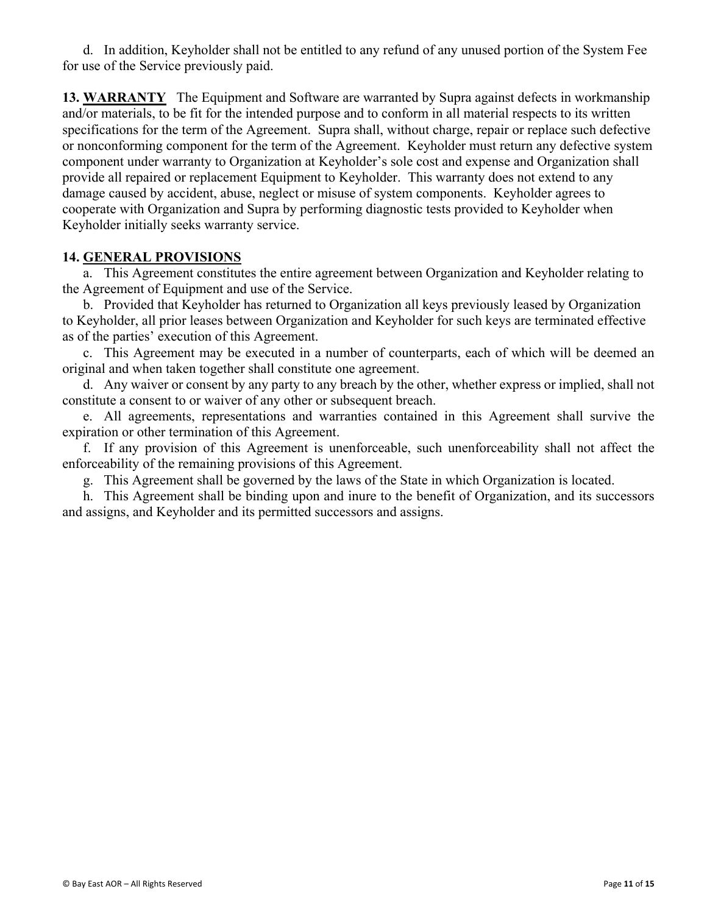d. In addition, Keyholder shall not be entitled to any refund of any unused portion of the System Fee for use of the Service previously paid.

**13. WARRANTY** The Equipment and Software are warranted by Supra against defects in workmanship and/or materials, to be fit for the intended purpose and to conform in all material respects to its written specifications for the term of the Agreement. Supra shall, without charge, repair or replace such defective or nonconforming component for the term of the Agreement. Keyholder must return any defective system component under warranty to Organization at Keyholder's sole cost and expense and Organization shall provide all repaired or replacement Equipment to Keyholder. This warranty does not extend to any damage caused by accident, abuse, neglect or misuse of system components. Keyholder agrees to cooperate with Organization and Supra by performing diagnostic tests provided to Keyholder when Keyholder initially seeks warranty service.

## **14. GENERAL PROVISIONS**

a. This Agreement constitutes the entire agreement between Organization and Keyholder relating to the Agreement of Equipment and use of the Service.

b. Provided that Keyholder has returned to Organization all keys previously leased by Organization to Keyholder, all prior leases between Organization and Keyholder for such keys are terminated effective as of the parties' execution of this Agreement.

c. This Agreement may be executed in a number of counterparts, each of which will be deemed an original and when taken together shall constitute one agreement.

d. Any waiver or consent by any party to any breach by the other, whether express or implied, shall not constitute a consent to or waiver of any other or subsequent breach.

e. All agreements, representations and warranties contained in this Agreement shall survive the expiration or other termination of this Agreement.

f. If any provision of this Agreement is unenforceable, such unenforceability shall not affect the enforceability of the remaining provisions of this Agreement.

g. This Agreement shall be governed by the laws of the State in which Organization is located.

h. This Agreement shall be binding upon and inure to the benefit of Organization, and its successors and assigns, and Keyholder and its permitted successors and assigns.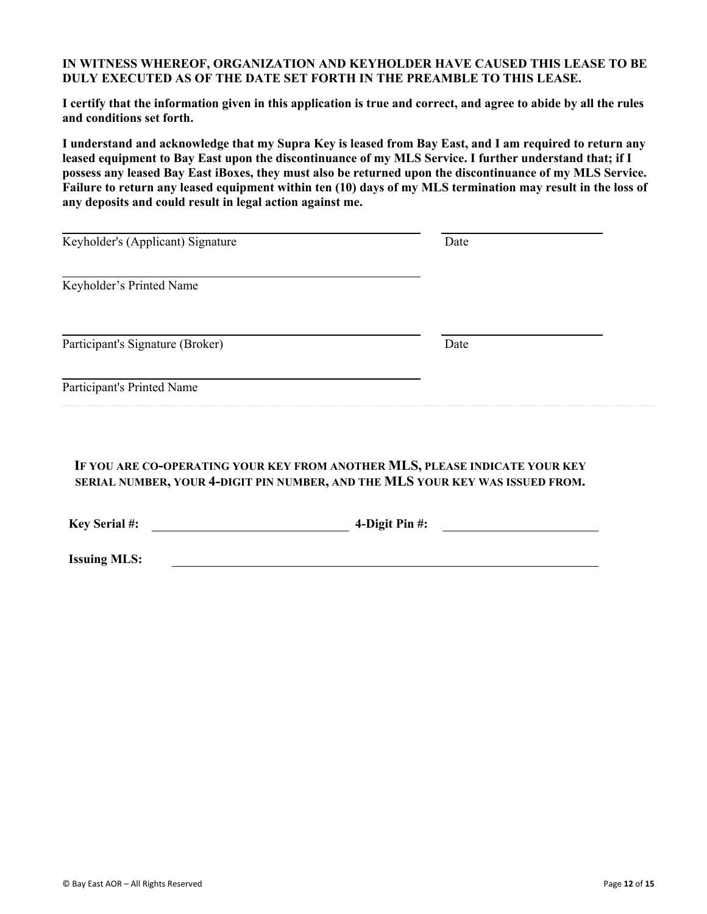#### **IN WITNESS WHEREOF, ORGANIZATION AND KEYHOLDER HAVE CAUSED THIS LEASE TO BE DULY EXECUTED AS OF THE DATE SET FORTH IN THE PREAMBLE TO THIS LEASE.**

**I certify that the information given in this application is true and correct, and agree to abide by all the rules and conditions set forth.** 

**I understand and acknowledge that my Supra Key is leased from Bay East, and I am required to return any leased equipment to Bay East upon the discontinuance of my MLS Service. I further understand that; if I possess any leased Bay East iBoxes, they must also be returned upon the discontinuance of my MLS Service. Failure to return any leased equipment within ten (10) days of my MLS termination may result in the loss of any deposits and could result in legal action against me.** 

| Keyholder's (Applicant) Signature | Date |  |
|-----------------------------------|------|--|
| Keyholder's Printed Name          |      |  |
| Participant's Signature (Broker)  | Date |  |
| Participant's Printed Name        |      |  |

## **IF YOU ARE CO-OPERATING YOUR KEY FROM ANOTHER MLS, PLEASE INDICATE YOUR KEY SERIAL NUMBER, YOUR 4-DIGIT PIN NUMBER, AND THE MLS YOUR KEY WAS ISSUED FROM.**

**Key Serial #: 4-Digit Pin #:** 

**Issuing MLS:**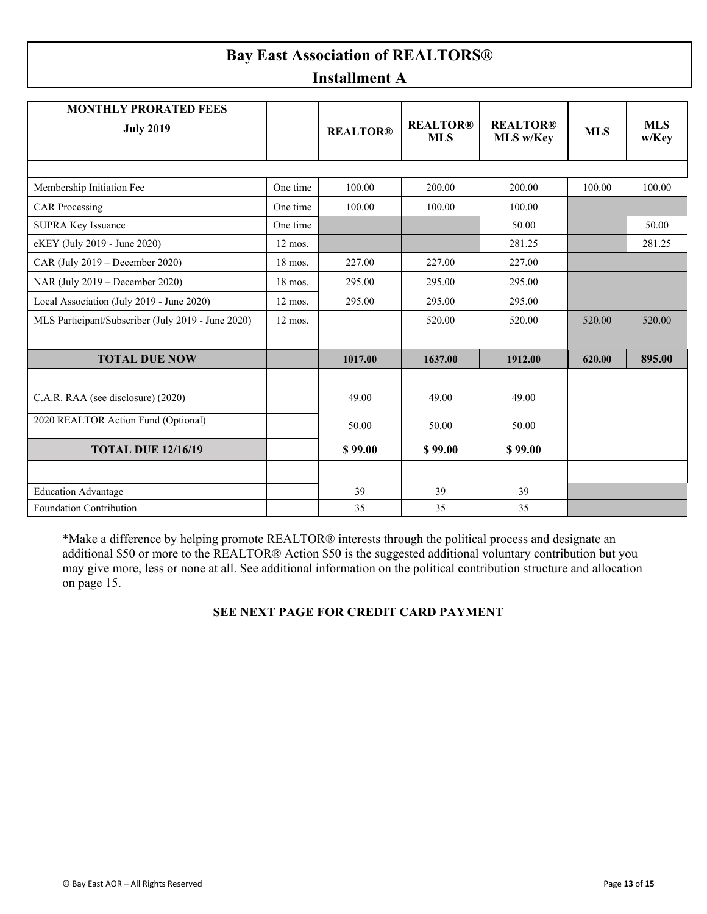## **Bay East Association of REALTORS® Installment A**

| <b>MONTHLY PRORATED FEES</b><br><b>July 2019</b>   |           | <b>REALTOR®</b> | <b>REALTOR®</b><br><b>MLS</b> | <b>REALTOR®</b><br><b>MLS w/Key</b> | <b>MLS</b> | <b>MLS</b><br>w/Key |
|----------------------------------------------------|-----------|-----------------|-------------------------------|-------------------------------------|------------|---------------------|
|                                                    |           |                 |                               |                                     |            |                     |
| Membership Initiation Fee                          | One time  | 100.00          | 200.00                        | 200.00                              | 100.00     | 100.00              |
| <b>CAR</b> Processing                              | One time  | 100.00          | 100.00                        | 100.00                              |            |                     |
| <b>SUPRA Key Issuance</b>                          | One time  |                 |                               | 50.00                               |            | 50.00               |
| eKEY (July 2019 - June 2020)                       | $12$ mos. |                 |                               | 281.25                              |            | 281.25              |
| CAR (July $2019$ – December 2020)                  | $18$ mos. | 227.00          | 227.00                        | 227.00                              |            |                     |
| NAR (July 2019 – December 2020)                    | 18 mos.   | 295.00          | 295.00                        | 295.00                              |            |                     |
| Local Association (July 2019 - June 2020)          | $12$ mos. | 295.00          | 295.00                        | 295.00                              |            |                     |
| MLS Participant/Subscriber (July 2019 - June 2020) | $12$ mos. |                 | 520.00                        | 520.00                              | 520.00     | 520.00              |
|                                                    |           |                 |                               |                                     |            |                     |
| <b>TOTAL DUE NOW</b>                               |           | 1017.00         | 1637.00                       | 1912.00                             | 620.00     | 895.00              |
|                                                    |           |                 |                               |                                     |            |                     |
| C.A.R. RAA (see disclosure) (2020)                 |           | 49.00           | 49.00                         | 49.00                               |            |                     |
| 2020 REALTOR Action Fund (Optional)                |           | 50.00           | 50.00                         | 50.00                               |            |                     |
| <b>TOTAL DUE 12/16/19</b>                          |           | \$99.00         | \$99.00                       | \$99.00                             |            |                     |
|                                                    |           |                 |                               |                                     |            |                     |
| <b>Education Advantage</b>                         |           | 39              | 39                            | 39                                  |            |                     |
| Foundation Contribution                            |           | 35              | 35                            | 35                                  |            |                     |

\*Make a difference by helping promote REALTOR® interests through the political process and designate an additional \$50 or more to the REALTOR® Action \$50 is the suggested additional voluntary contribution but you may give more, less or none at all. See additional information on the political contribution structure and allocation on page 15.

## **SEE NEXT PAGE FOR CREDIT CARD PAYMENT**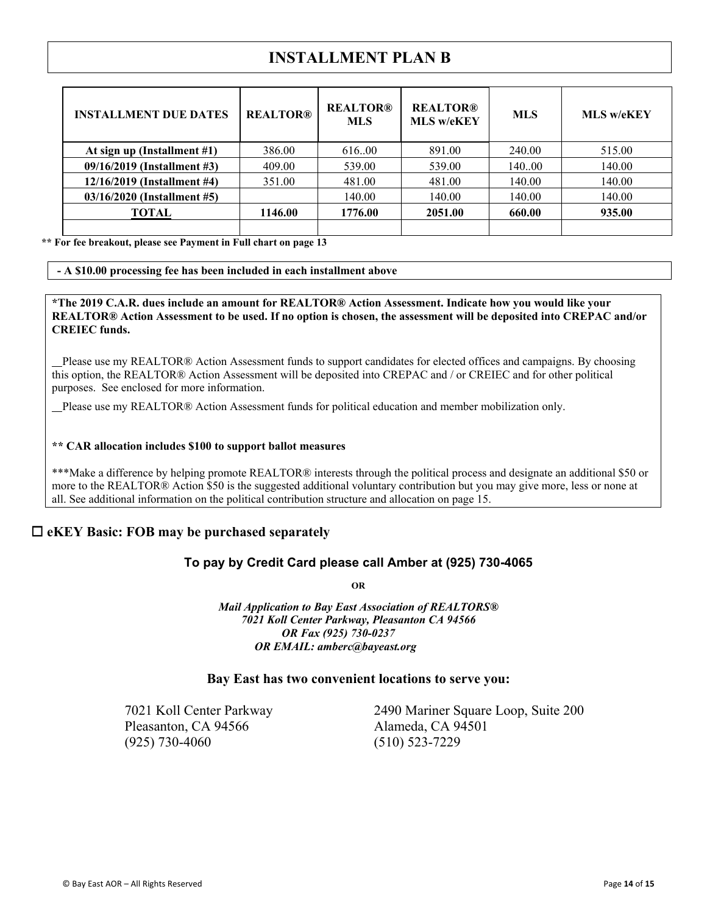## **INSTALLMENT PLAN B**

| <b>INSTALLMENT DUE DATES</b> | <b>REALTOR®</b> | <b>REALTOR®</b><br><b>MLS</b> | <b>REALTOR®</b><br><b>MLS w/eKEY</b> | ML S   | <b>MLS w/eKEY</b> |
|------------------------------|-----------------|-------------------------------|--------------------------------------|--------|-------------------|
| At sign up (Installment #1)  | 386.00          | 616.00                        | 891.00                               | 240.00 | 515.00            |
| 09/16/2019 (Installment #3)  | 409.00          | 539.00                        | 539.00                               | 14000  | 140.00            |
| 12/16/2019 (Installment #4)  | 351.00          | 481.00                        | 481.00                               | 140.00 | 140.00            |
| 03/16/2020 (Installment #5)  |                 | 140.00                        | 140.00                               | 140.00 | 140.00            |
| TOTAL                        | 1146.00         | 1776.00                       | 2051.00                              | 660.00 | 935.00            |
|                              |                 |                               |                                      |        |                   |

**\*\* For fee breakout, please see Payment in Full chart on page 13** 

#### **- A \$10.00 processing fee has been included in each installment above**

**\*The 2019 C.A.R. dues include an amount for REALTOR® Action Assessment. Indicate how you would like your REALTOR® Action Assessment to be used. If no option is chosen, the assessment will be deposited into CREPAC and/or CREIEC funds.** 

 Please use my REALTOR® Action Assessment funds to support candidates for elected offices and campaigns. By choosing this option, the REALTOR® Action Assessment will be deposited into CREPAC and / or CREIEC and for other political purposes. See enclosed for more information.

Please use my REALTOR® Action Assessment funds for political education and member mobilization only.

#### **\*\* CAR allocation includes \$100 to support ballot measures**

\*\*\*Make a difference by helping promote REALTOR® interests through the political process and designate an additional \$50 or more to the REALTOR® Action \$50 is the suggested additional voluntary contribution but you may give more, less or none at all. See additional information on the political contribution structure and allocation on page 15.

#### □ eKEY Basic: FOB may be purchased separately

#### **To pay by Credit Card please call Amber at (925) 730-4065**

**OR** 

*Mail Application to Bay East Association of REALTORS® 7021 Koll Center Parkway, Pleasanton CA 94566 OR Fax (925) 730-0237 OR EMAIL: amberc@bayeast.org*

#### **Bay East has two convenient locations to serve you:**

Pleasanton, CA 94566 Alameda, CA 94501 (925) 730-4060 (510) 523-7229

7021 Koll Center Parkway 2490 Mariner Square Loop, Suite 200